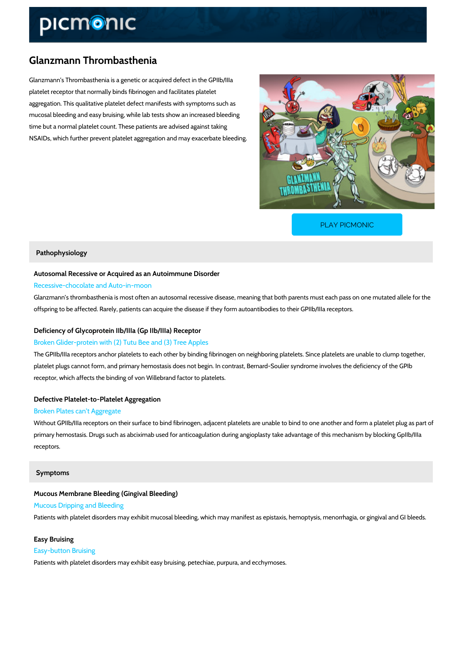# Glanzmann Thrombasthenia

Glanzmann s Thrombasthenia is a genetic or acquired defect in the GPIIb/IIIa platelet receptor that normally binds fibrinogen and facilitates platelet aggregation. This qualitative platelet defect manifests with symptoms such as mucosal bleeding and easy bruising, while lab tests show an increased bleeding time but a normal platelet count. These patients are advised against taking NSAIDs, which further prevent platelet aggregation and may exacerbate bleeding.

[PLAY PICMONIC](https://www.picmonic.com/learn/glanzmann-thrombasthenia_2604?utm_source=downloadable_content&utm_medium=distributedcontent&utm_campaign=pathways_pdf&utm_content=Glanzmann Thrombasthenia&utm_ad_group=leads&utm_market=all)

#### Pathophysiology

Autosomal Recessive or Acquired as an Autoimmune Disorder Recessive-chocolate and Auto-in-moon

Glanzmann s thrombasthenia is most often an autosomal recessive disease, meaning that both offspring to be affected. Rarely, patients can acquire the disease if they form autoantibodies

### Deficiency of Glycoprotein IIb/IIIa (Gp IIb/IIIa) Receptor

### Broken Glider-protein with (2) Tutu Bee and (3) Tree Apples

The GPIIb/IIIa receptors anchor platelets to each other by binding fibrinogen on neighboring platelets. platelet plugs cannot form, and primary hemostasis does not begin. In contrast, Bernard-Souli receptor, which affects the binding of von Willebrand factor to platelets.

#### Defective Platelet-to-Platelet Aggregation

#### Broken Plates can t Aggregate

Without GPIIb/IIIa receptors on their surface to bind fibrinogen, adjacent platelets are unable primary hemostasis. Drugs such as abciximab used for anticoagulation during angioplasty take receptors.

#### Symptoms

Mucous Membrane Bleeding (Gingival Bleeding) Mucous Dripping and Bleeding Patients with platelet disorders may exhibit mucosal bleeding, which may manifest as epistaxi

## Easy Bruising Easy-button Bruising Patients with platelet disorders may exhibit easy bruising, petechiae, purpura, and ecchymose